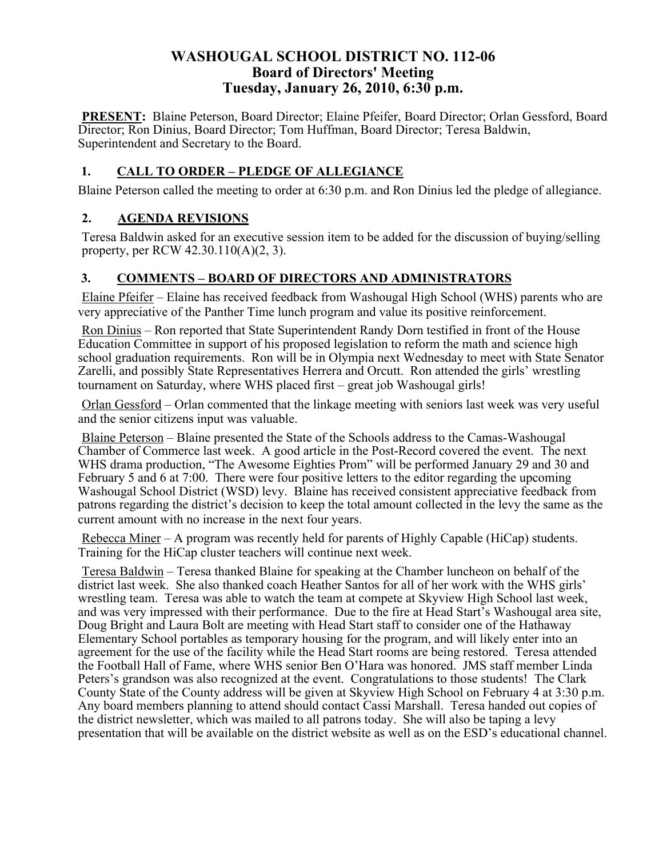### **WASHOUGAL SCHOOL DISTRICT NO. 112-06 Board of Directors' Meeting Tuesday, January 26, 2010, 6:30 p.m.**

**PRESENT:** Blaine Peterson, Board Director; Elaine Pfeifer, Board Director; Orlan Gessford, Board Director; Ron Dinius, Board Director; Tom Huffman, Board Director; Teresa Baldwin, Superintendent and Secretary to the Board.

#### **1. CALL TO ORDER – PLEDGE OF ALLEGIANCE**

Blaine Peterson called the meeting to order at 6:30 p.m. and Ron Dinius led the pledge of allegiance.

#### **2. AGENDA REVISIONS**

Teresa Baldwin asked for an executive session item to be added for the discussion of buying/selling property, per RCW 42.30.110(A)(2, 3).

#### **3. COMMENTS – BOARD OF DIRECTORS AND ADMINISTRATORS**

Elaine Pfeifer – Elaine has received feedback from Washougal High School (WHS) parents who are very appreciative of the Panther Time lunch program and value its positive reinforcement.

Ron Dinius – Ron reported that State Superintendent Randy Dorn testified in front of the House Education Committee in support of his proposed legislation to reform the math and science high school graduation requirements. Ron will be in Olympia next Wednesday to meet with State Senator Zarelli, and possibly State Representatives Herrera and Orcutt. Ron attended the girls' wrestling tournament on Saturday, where WHS placed first – great job Washougal girls!

Orlan Gessford – Orlan commented that the linkage meeting with seniors last week was very useful and the senior citizens input was valuable.

Blaine Peterson – Blaine presented the State of the Schools address to the Camas-Washougal Chamber of Commerce last week. A good article in the Post-Record covered the event. The next WHS drama production, "The Awesome Eighties Prom" will be performed January 29 and 30 and February 5 and 6 at 7:00. There were four positive letters to the editor regarding the upcoming Washougal School District (WSD) levy. Blaine has received consistent appreciative feedback from patrons regarding the district's decision to keep the total amount collected in the levy the same as the current amount with no increase in the next four years.

Rebecca Miner – A program was recently held for parents of Highly Capable (HiCap) students. Training for the HiCap cluster teachers will continue next week.

Teresa Baldwin – Teresa thanked Blaine for speaking at the Chamber luncheon on behalf of the district last week. She also thanked coach Heather Santos for all of her work with the WHS girls' wrestling team. Teresa was able to watch the team at compete at Skyview High School last week, and was very impressed with their performance. Due to the fire at Head Start's Washougal area site, Doug Bright and Laura Bolt are meeting with Head Start staff to consider one of the Hathaway Elementary School portables as temporary housing for the program, and will likely enter into an agreement for the use of the facility while the Head Start rooms are being restored. Teresa attended the Football Hall of Fame, where WHS senior Ben O'Hara was honored. JMS staff member Linda Peters's grandson was also recognized at the event. Congratulations to those students! The Clark County State of the County address will be given at Skyview High School on February 4 at 3:30 p.m. Any board members planning to attend should contact Cassi Marshall. Teresa handed out copies of the district newsletter, which was mailed to all patrons today. She will also be taping a levy presentation that will be available on the district website as well as on the ESD's educational channel.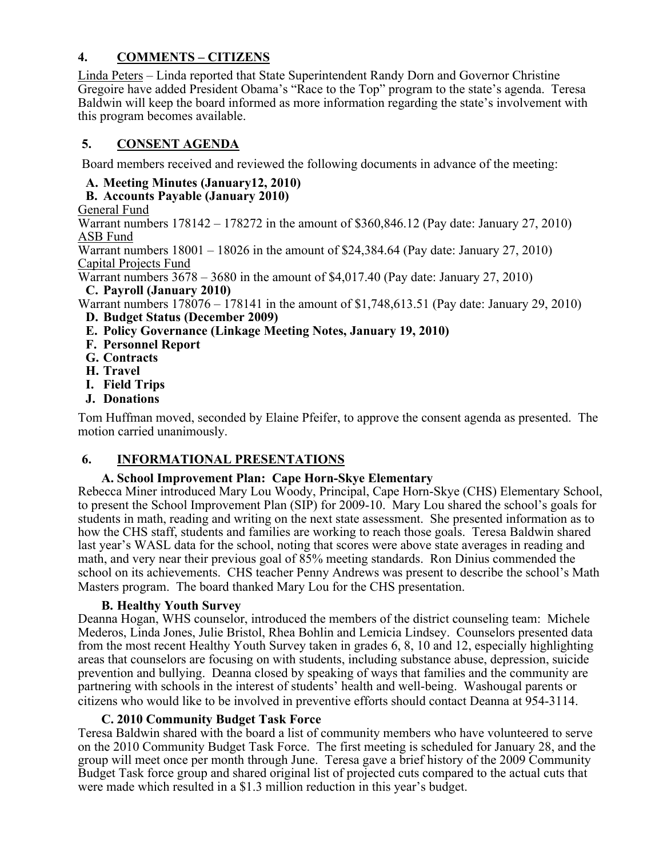### **4. COMMENTS – CITIZENS**

Linda Peters – Linda reported that State Superintendent Randy Dorn and Governor Christine Gregoire have added President Obama's "Race to the Top" program to the state's agenda. Teresa Baldwin will keep the board informed as more information regarding the state's involvement with this program becomes available.

#### **5. CONSENT AGENDA**

Board members received and reviewed the following documents in advance of the meeting:

### **A. Meeting Minutes (January12, 2010)**

### **B. Accounts Payable (January 2010)**

#### General Fund

Warrant numbers 178142 – 178272 in the amount of \$360,846.12 (Pay date: January 27, 2010) ASB Fund

Warrant numbers  $18001 - 18026$  in the amount of \$24,384.64 (Pay date: January 27, 2010) Capital Projects Fund

Warrant numbers 3678 – 3680 in the amount of \$4,017.40 (Pay date: January 27, 2010) **C. Payroll (January 2010)**

Warrant numbers 178076 – 178141 in the amount of \$1,748,613.51 (Pay date: January 29, 2010) **D. Budget Status (December 2009)**

- **E. Policy Governance (Linkage Meeting Notes, January 19, 2010)**
- **F. Personnel Report**
- **G. Contracts**
- **H. Travel**
- **I. Field Trips**
- **J. Donations**

Tom Huffman moved, seconded by Elaine Pfeifer, to approve the consent agenda as presented. The motion carried unanimously.

# **6. INFORMATIONAL PRESENTATIONS**

#### **A. School Improvement Plan: Cape Horn-Skye Elementary**

Rebecca Miner introduced Mary Lou Woody, Principal, Cape Horn-Skye (CHS) Elementary School, to present the School Improvement Plan (SIP) for 2009-10. Mary Lou shared the school's goals for students in math, reading and writing on the next state assessment. She presented information as to how the CHS staff, students and families are working to reach those goals. Teresa Baldwin shared last year's WASL data for the school, noting that scores were above state averages in reading and math, and very near their previous goal of 85% meeting standards. Ron Dinius commended the school on its achievements. CHS teacher Penny Andrews was present to describe the school's Math Masters program. The board thanked Mary Lou for the CHS presentation.

#### **B. Healthy Youth Survey**

Deanna Hogan, WHS counselor, introduced the members of the district counseling team: Michele Mederos, Linda Jones, Julie Bristol, Rhea Bohlin and Lemicia Lindsey. Counselors presented data from the most recent Healthy Youth Survey taken in grades 6, 8, 10 and 12, especially highlighting areas that counselors are focusing on with students, including substance abuse, depression, suicide prevention and bullying. Deanna closed by speaking of ways that families and the community are partnering with schools in the interest of students' health and well-being. Washougal parents or citizens who would like to be involved in preventive efforts should contact Deanna at 954-3114.

#### **C. 2010 Community Budget Task Force**

Teresa Baldwin shared with the board a list of community members who have volunteered to serve on the 2010 Community Budget Task Force. The first meeting is scheduled for January 28, and the group will meet once per month through June. Teresa gave a brief history of the 2009 Community Budget Task force group and shared original list of projected cuts compared to the actual cuts that were made which resulted in a \$1.3 million reduction in this year's budget.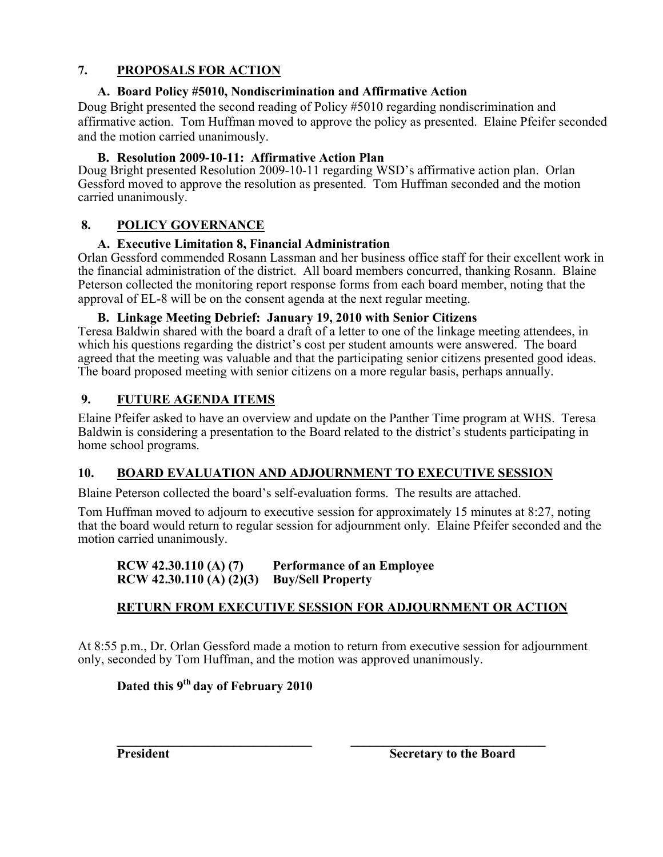### **7. PROPOSALS FOR ACTION**

### **A. Board Policy #5010, Nondiscrimination and Affirmative Action**

Doug Bright presented the second reading of Policy #5010 regarding nondiscrimination and affirmative action. Tom Huffman moved to approve the policy as presented. Elaine Pfeifer seconded and the motion carried unanimously.

### **B. Resolution 2009-10-11: Affirmative Action Plan**

Doug Bright presented Resolution 2009-10-11 regarding WSD's affirmative action plan. Orlan Gessford moved to approve the resolution as presented. Tom Huffman seconded and the motion carried unanimously.

# **8. POLICY GOVERNANCE**

# **A. Executive Limitation 8, Financial Administration**

Orlan Gessford commended Rosann Lassman and her business office staff for their excellent work in the financial administration of the district. All board members concurred, thanking Rosann. Blaine Peterson collected the monitoring report response forms from each board member, noting that the approval of EL-8 will be on the consent agenda at the next regular meeting.

### **B. Linkage Meeting Debrief: January 19, 2010 with Senior Citizens**

Teresa Baldwin shared with the board a draft of a letter to one of the linkage meeting attendees, in which his questions regarding the district's cost per student amounts were answered. The board agreed that the meeting was valuable and that the participating senior citizens presented good ideas. The board proposed meeting with senior citizens on a more regular basis, perhaps annually.

# **9. FUTURE AGENDA ITEMS**

Elaine Pfeifer asked to have an overview and update on the Panther Time program at WHS. Teresa Baldwin is considering a presentation to the Board related to the district's students participating in home school programs.

# **10. BOARD EVALUATION AND ADJOURNMENT TO EXECUTIVE SESSION**

Blaine Peterson collected the board's self-evaluation forms. The results are attached.

Tom Huffman moved to adjourn to executive session for approximately 15 minutes at 8:27, noting that the board would return to regular session for adjournment only. Elaine Pfeifer seconded and the motion carried unanimously.

#### **RCW 42.30.110 (A) (7) Performance of an Employee RCW 42.30.110 (A) (2)(3) Buy/Sell Property**

# **RETURN FROM EXECUTIVE SESSION FOR ADJOURNMENT OR ACTION**

At 8:55 p.m., Dr. Orlan Gessford made a motion to return from executive session for adjournment only, seconded by Tom Huffman, and the motion was approved unanimously.

# **Dated this 9th day of February 2010**